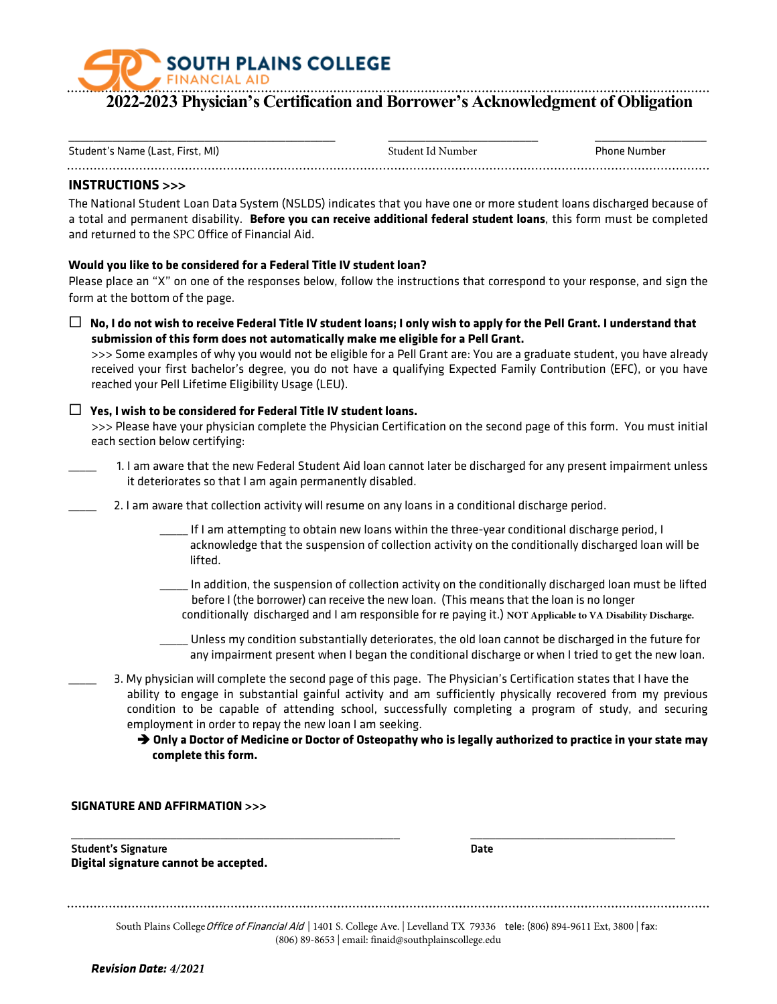# **SOUTH PLAINS COLLEGE FINANCIAL AID**

# **2022-2023 Physician's Certification and Borrower's Acknowledgment of Obligation**

| Student's Name (Last, First, MI) | Student Id Number | <b>Phone Number</b> |
|----------------------------------|-------------------|---------------------|

# **INSTRUCTIONS >>>**

The National Student Loan Data System (NSLDS) indicates that you have one or more student loans discharged because of a total and permanent disability. **Before you can receive additional federal student loans**, this form must be completed and returned to the SPC Office of Financial Aid.

# **Would you like to be considered for a Federal Title IV student loan?**

Please place an "X" on one of the responses below, follow the instructions that correspond to your response, and sign the form at the bottom of the page.

 **No, I do not wish to receive Federal Title IV student loans; I only wish to apply for the Pell Grant. I understand that submission of this form does not automatically make me eligible for a Pell Grant.**

>>> Some examples of why you would not be eligible for a Pell Grant are: You are a graduate student, you have already received your first bachelor's degree, you do not have a qualifying Expected Family Contribution (EFC), or you have reached your Pell Lifetime Eligibility Usage (LEU).

# **Yes, I wish to be considered for Federal Title IV student loans.**

>>> Please have your physician complete the Physician Certification on the second page of this form. You must initial each section below certifying:

- \_\_\_\_\_ 1. I am aware that the new Federal Student Aid loan cannot later be discharged for any present impairment unless it deteriorates so that I am again permanently disabled.
- 2. I am aware that collection activity will resume on any loans in a conditional discharge period.
	- \_\_\_\_\_ If I am attempting to obtain new loans within the three-year conditional discharge period, I acknowledge that the suspension of collection activity on the conditionally discharged loan will be lifted.
	- \_\_\_\_\_ In addition, the suspension of collection activity on the conditionally discharged loan must be lifted before I (the borrower) can receive the new loan. (This means that the loan is no longer conditionally discharged and I am responsible for re paying it.) **NOT Applicable to VA Disability Discharge.**
	- Unless my condition substantially deteriorates, the old loan cannot be discharged in the future for any impairment present when I began the conditional discharge or when I tried to get the new loan.
- \_\_\_\_\_ 3. My physician will complete the second page of this page. The Physician's Certification states that I have the ability to engage in substantial gainful activity and am sufficiently physically recovered from my previous condition to be capable of attending school, successfully completing a program of study, and securing employment in order to repay the new loan I am seeking.

 **Only a Doctor of Medicine or Doctor of Osteopathy who is legally authorized to practice in your state may complete this form.**

#### **SIGNATURE AND AFFIRMATION >>>**

Student's Signature **Digital signature cannot be accepted.**

\_\_\_\_\_\_\_\_\_\_\_\_\_\_\_\_\_\_\_\_\_\_\_\_\_\_\_\_\_\_\_\_\_\_\_\_\_\_\_\_\_\_\_\_\_\_\_\_\_\_\_\_\_

\_\_\_\_\_\_\_\_\_\_\_\_\_\_\_\_\_\_\_\_\_\_\_\_\_\_\_\_\_\_\_\_\_ Date

| South Plains College Office of Financial Aid   1401 S. College Ave.   Levelland TX 79336 tele: (806) 894-9611 Ext, 3800   fax: |  |
|--------------------------------------------------------------------------------------------------------------------------------|--|
| (806) 89-8653   email: finaid@southplainscollege.edu                                                                           |  |